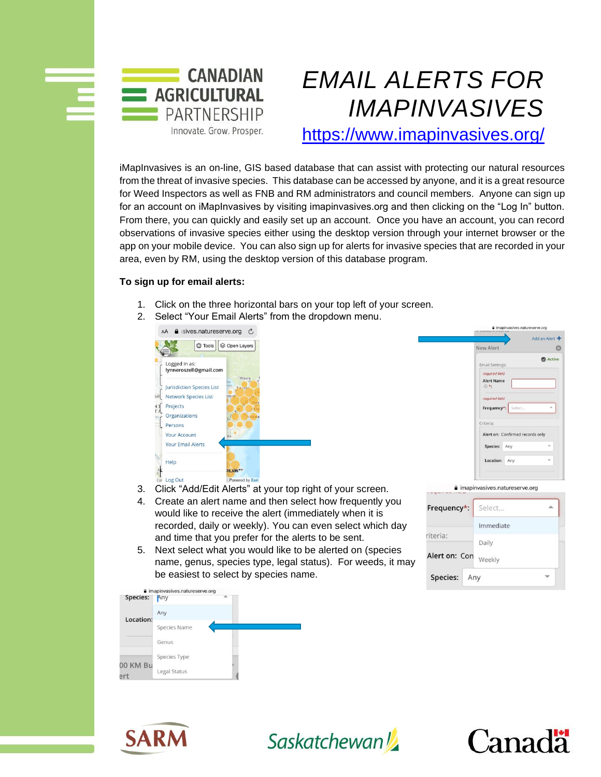

## *EMAIL ALERTS FOR IMAPINVASIVES*

<https://www.imapinvasives.org/>

iMapInvasives is an on-line, GIS based database that can assist with protecting our natural resources from the threat of invasive species. This database can be accessed by anyone, and it is a great resource for Weed Inspectors as well as FNB and RM administrators and council members. Anyone can sign up for an account on iMapInvasives by visiting imapinvasives.org and then clicking on the "Log In" button. From there, you can quickly and easily set up an account. Once you have an account, you can record observations of invasive species either using the desktop version through your internet browser or the app on your mobile device. You can also sign up for alerts for invasive species that are recorded in your area, even by RM, using the desktop version of this database program.

## **To sign up for email alerts:**

- 1. Click on the three horizontal bars on your top left of your screen.
- 2. Select "Your Email Alerts" from the dropdown menu.





- 3. Click "Add/Edit Alerts" at your top right of your screen.
- 4. Create an alert name and then select how frequently you would like to receive the alert (immediately when it is recorded, daily or weekly). You can even select which day and time that you prefer for the alerts to be sent.
- 5. Next select what you would like to be alerted on (species name, genus, species type, legal status). For weeds, it may be easiest to select by species name.

| Frequency*: Select |           |
|--------------------|-----------|
|                    | Immediate |
| riteria:           | Daily     |
| Alert on: Con      | Weekly    |
| Species: Any       |           |